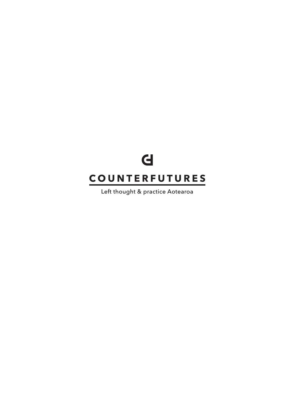## $\mathbf d$ **COUNTERFUTURES**

Left thought & practice Aotearoa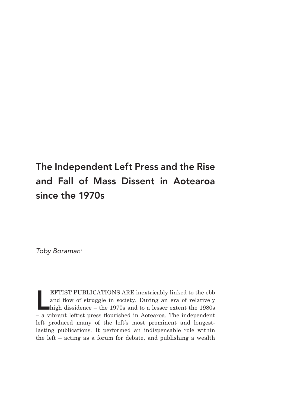### The Independent Left Press and the Rise and Fall of Mass Dissent in Aotearoa since the 1970s

Toby Boraman<sup>1</sup>

EFTIST PUBLICATIONS ARE inextricably linked to the ebb and flow of struggle in society. During an era of relatively high dissidence – the 1970s and to a lesser extent the 1980s – a vibrant leftist press flourished in Aotea EFTIST PUBLICATIONS ARE inextricably linked to the ebb and flow of struggle in society. During an era of relatively high dissidence – the 1970s and to a lesser extent the 1980s left produced many of the left's most prominent and longestlasting publications. It performed an indispensable role within the left – acting as a forum for debate, and publishing a wealth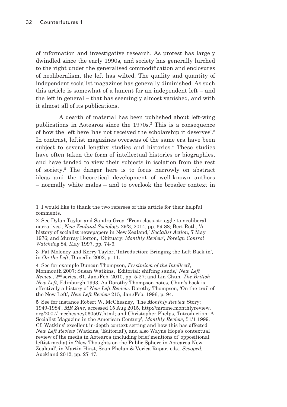of information and investigative research. As protest has largely dwindled since the early 1990s, and society has generally lurched to the right under the generalised commodification and enclosures of neoliberalism, the left has wilted. The quality and quantity of independent socialist magazines has generally diminished. As such this article is somewhat of a lament for an independent left – and the left in general – that has seemingly almost vanished, and with it almost all of its publications.

A dearth of material has been published about left-wing publications in Aotearoa since the 1970s.<sup>2</sup> This is a consequence of how the left here 'has not received the scholarship it deserves'.<sup>3</sup> In contrast, leftist magazines overseas of the same era have been subject to several lengthy studies and histories.<sup>4</sup> These studies have often taken the form of intellectual histories or biographies, and have tended to view their subjects in isolation from the rest of society.<sup>5</sup> The danger here is to focus narrowly on abstract ideas and the theoretical development of well-known authors – normally white males – and to overlook the broader context in

2 See Dylan Taylor and Sandra Grey, 'From class-struggle to neoliberal narratives', *New Zealand Sociology* 29/3, 2014, pp. 69-88; Bert Roth, 'A history of socialist newspapers in New Zealand,' *Socialist Action*, 7 May 1976; and Murray Horton, 'Obituary: *Monthly Review'*, *Foreign Control Watchdog* 84, May 1997, pp. 74-6.

3 Pat Moloney and Kerry Taylor, 'Introduction: Bringing the Left Back in', in *On the Left*, Dunedin 2002, p. 11.

4 See for example Duncan Thompson, *Pessimism of the Intellect?*, Monmouth 2007; Susan Watkins, 'Editorial: shifting sands,' *New Left Review*, 2nd series, 61, Jan./Feb. 2010, pp. 5-27; and Lin Chun*, The British New Left,* Edinburgh 1993. As Dorothy Thompson notes, Chun's book is effectively a history of *New Left Review*. Dorothy Thompson, 'On the trail of the New Left', *New Left Review* 215, Jan./Feb. 1996, p. 94.

5 See for instance Robert W. McChesney, 'The *Monthly Review* Story: 1949-1984', *MR Zine*, accessed 15 Aug 2015, http://mrzine.monthlyreview. org/2007/ mcchesney060507.html; and Christopher Phelps, 'Introduction: A Socialist Magazine in the American Century', *Monthly Review*, 51/1 1999. Cf. Watkins' excellent in-depth context setting and how this has affected *New Left Review* (Watkins, 'Editorial'), and also Wayne Hope's contextual review of the media in Aotearoa (including brief mentions of 'oppositional' leftist media) in 'New Thoughts on the Public Sphere in Aotearoa New Zealand', in Martin Hirst, Sean Phelan & Verica Rupar, eds., *Scooped,* Auckland 2012, pp. 27-47.

<sup>1</sup> I would like to thank the two referees of this article for their helpful comments.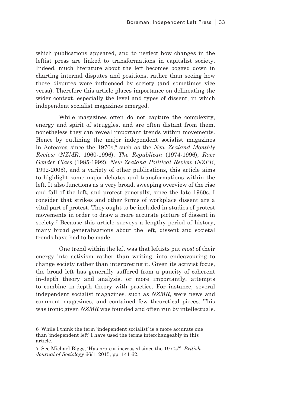which publications appeared, and to neglect how changes in the leftist press are linked to transformations in capitalist society. Indeed, much literature about the left becomes bogged down in charting internal disputes and positions, rather than seeing how those disputes were influenced by society (and sometimes vice versa). Therefore this article places importance on delineating the wider context, especially the level and types of dissent, in which independent socialist magazines emerged.

While magazines often do not capture the complexity, energy and spirit of struggles, and are often distant from them. nonetheless they can reveal important trends within movements. Hence by outlining the major independent socialist magazines in Aotearoa since the 1970s,<sup>6</sup> such as the *New Zealand Monthly Review* (*NZMR*, 1960-1996), *The Republican* (1974-1996), *Race Gender Class* (1985-1992), *New Zealand Political Review* (*NZPR*, 1992-2005), and a variety of other publications, this article aims to highlight some major debates and transformations within the left. It also functions as a very broad, sweeping overview of the rise and fall of the left, and protest generally, since the late 1960s. I consider that strikes and other forms of workplace dissent are a vital part of protest. They ought to be included in studies of protest movements in order to draw a more accurate picture of dissent in society.<sup>7</sup> Because this article surveys a lengthy period of history, many broad generalisations about the left, dissent and societal trends have had to be made.

One trend within the left was that leftists put *most* of their energy into activism rather than writing, into endeavouring to change society rather than interpreting it. Given its activist focus, the broad left has generally suffered from a paucity of coherent in-depth theory and analysis, or more importantly, attempts to combine in-depth theory with practice. For instance, several independent socialist magazines, such as *NZMR*, were news and comment magazines, and contained few theoretical pieces. This was ironic given *NZMR* was founded and often run by intellectuals.

<sup>6</sup> While I think the term 'independent socialist' is a more accurate one than 'independent left' I have used the terms interchangeably in this article.

<sup>7</sup> See Michael Biggs, 'Has protest increased since the 1970s?', *British Journal of Sociology* 66/1, 2015, pp. 141-62.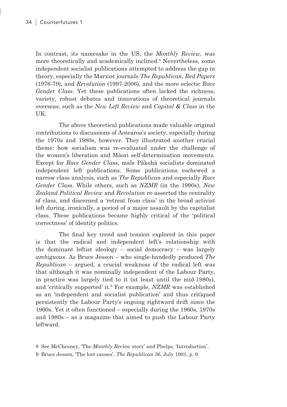In contrast, its namesake in the US, the *Monthly Review*, was more theoretically and academically inclined.8 Nevertheless, some independent socialist publications attempted to address the gap in theory, especially the Marxist journals *The Republican*, *Red Papers* (1976-79), and *Revolution* (1997-2006), and the more eclectic *Race Gender Class*. Yet these publications often lacked the richness, variety, robust debates and innovations of theoretical journals overseas, such as the *New Left Review* and *Capital & Class* in the UK.

The above theoretical publications made valuable original contributions to discussions of Aotearoa's society, especially during the 1970s and 1980s, however. They illustrated another crucial theme: how socialism was re-evaluated under the challenge of the women's liberation and Māori self-determination movements. Except for *Race Gender Class*, male Pākehā socialists dominated independent left publications. Some publications eschewed a narrow class analysis, such as *The Republican* and especially *Race Gender Class*. While others, such as *NZMR* (in the 1990s), *New Zealand Political Review* and *Revolution* re-asserted the centrality of class, and discerned a 'retreat from class' in the broad activist left during, ironically, a period of a major assault by the capitalist class. These publications became highly critical of the 'political correctness' of identity politics.

The final key trend and tension explored in this paper is that the radical and independent left's relationship with the dominant leftist ideology – social democracy – was largely *ambiguous*. As Bruce Jesson – who single-handedly produced *The Republican* – argued, a crucial weakness of the radical left was that although it was nominally independent of the Labour Party, in practice was largely tied to it (at least until the mid-1980s), and 'critically supported' it.9 For example, *NZMR* was established as an 'independent and socialist publication' and thus critiqued persistently the Labour Party's ongoing rightward drift since the 1960s. Yet it often functioned – especially during the 1960s, 1970s and 1980s – as a magazine that aimed to push the Labour Party leftward.

<sup>8</sup> See McChesney, 'The *Monthly Review* story' and Phelps, 'Introduction'.

<sup>9</sup> Bruce Jesson, 'The lost causes', *The Republican* 36, July 1981, p. 9.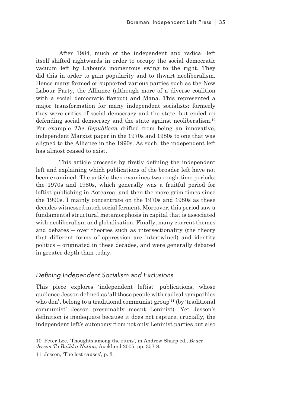After 1984, much of the independent and radical left itself shifted rightwards in order to occupy the social democratic vacuum left by Labour's momentous swing to the right. They did this in order to gain popularity and to thwart neoliberalism. Hence many formed or supported various parties such as the New Labour Party, the Alliance (although more of a diverse coalition with a social democratic flavour) and Mana. This represented a major transformation for many independent socialists: formerly they were critics of social democracy and the state, but ended up defending social democracy and the state against neoliberalism.<sup>10</sup> For example *The Republican* drifted from being an innovative, independent Marxist paper in the 1970s and 1980s to one that was aligned to the Alliance in the 1990s. As such, the independent left has almost ceased to exist.

This article proceeds by firstly defining the independent left and explaining which publications of the broader left have not been examined. The article then examines two rough time periods: the 1970s and 1980s, which generally was a fruitful period for leftist publishing in Aotearoa; and then the more grim times since the 1990s. I mainly concentrate on the 1970s and 1980s as these decades witnessed much social ferment. Moreover, this period saw a fundamental structural metamorphosis in capital that is associated with neoliberalism and globalisation. Finally, many current themes and debates – over theories such as intersectionality (the theory that different forms of oppression are intertwined) and identity politics – originated in these decades, and were generally debated in greater depth than today.

#### Defining Independent Socialism and Exclusions

This piece explores 'independent leftist' publications, whose audience Jesson defined as 'all those people with radical sympathies who don't belong to a traditional communist group'<sup>11</sup> (by 'traditional communist' Jesson presumably meant Leninist). Yet Jesson's definition is inadequate because it does not capture, crucially, the independent left's autonomy from not only Leninist parties but also

11 Jesson, 'The lost causes', p. 3.

<sup>10</sup> Peter Lee, 'Thoughts among the ruins', in Andrew Sharp ed., *Bruce Jesson To Build a Nation*, Auckland 2005, pp. 357-8.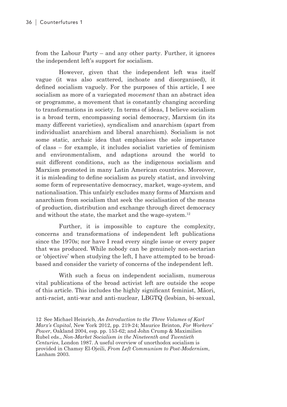from the Labour Party – and any other party. Further, it ignores the independent left's support for socialism.

However, given that the independent left was itself vague (it was also scattered, inchoate and disorganised), it defined socialism vaguely. For the purposes of this article, I see socialism as more of a variegated *movement* than an abstract idea or programme, a movement that is constantly changing according to transformations in society. In terms of ideas, I believe socialism is a broad term, encompassing social democracy, Marxism (in its many different varieties), syndicalism and anarchism (apart from individualist anarchism and liberal anarchism). Socialism is not some static, archaic idea that emphasises the sole importance of class – for example, it includes socialist varieties of feminism and environmentalism, and adaptions around the world to suit different conditions, such as the indigenous socialism and Marxism promoted in many Latin American countries. Moreover, it is misleading to define socialism as purely statist, and involving some form of representative democracy, market, wage-system, and nationalisation. This unfairly excludes many forms of Marxism and anarchism from socialism that seek the socialisation of the means of production, distribution and exchange through direct democracy and without the state, the market and the wage-system.<sup>12</sup>

Further, it is impossible to capture the complexity, concerns and transformations of independent left publications since the 1970s; nor have I read every single issue or every paper that was produced. While nobody can be genuinely non-sectarian or 'objective' when studying the left, I have attempted to be broadbased and consider the variety of concerns of the independent left.

With such a focus on independent socialism, numerous vital publications of the broad activist left are outside the scope of this article. This includes the highly significant feminist, Māori, anti-racist, anti-war and anti-nuclear, LBGTQ (lesbian, bi-sexual,

<sup>12</sup> See Michael Heinrich, *An Introduction to the Three Volumes of Karl Marx's Capital*, New York 2012, pp. 219-24; Maurice Brinton, *For Workers' Power*, Oakland 2004, esp. pp. 153-62; and John Crump & Maximilien Rubel eds., *Non-Market Socialism in the Nineteenth and Twentieth Centuries*, London 1987. A useful overview of unorthodox socialism is provided in Chamsy El-Ojeili, *From Left Communism to Post-Modernism*, Lanham 2003.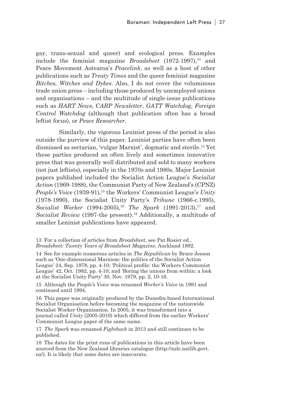gay, trans-sexual and queer) and ecological press. Examples include the feminist magazine *Broadsheet* (1972-1997),<sup>13</sup> and Peace Movement Aotearoa's *Peacelink*, as well as a host of other publications such as *Treaty Times* and the queer feminist magazine *Bitches, Witches and Dykes*. Also, I do not cover the voluminous trade union press – including those produced by unemployed unions and organisations – and the multitude of single-issue publications such as *HART News*, *CARP Newsletter*, *GATT Watchdog*, *Foreign Control Watchdog* (although that publication often has a broad leftist focus), or *Peace Researcher*.

Similarly, the vigorous Leninist press of the period is also outside the purview of this paper. Leninist parties have often been dismissed as sectarian, 'vulgar Marxist', dogmatic and sterile.14 Yet these parties produced an often lively and sometimes innovative press that was generally well distributed and sold to many workers (not just leftists), especially in the 1970s and 1980s. Major Leninist papers published included the Socialist Action League's *Socialist Action* (1969-1988), the Communist Party of New Zealand's (CPNZ) *People's Voice* (1939-91),<sup>15</sup> the Workers' Communist League's *Unity* (1978-1990), the Socialist Unity Party's *Tribune* (1966-c.1995), *Socialist Worker* (1994-2005),<sup>16</sup> *The Spark* (1991-2013),<sup>17</sup> and *Socialist Review* (1997-the present).<sup>18</sup> Additionally, a multitude of smaller Leninist publications have appeared.

13 For a collection of articles from *Broadsheet*, see Pat Rosier ed., *Broadsheet: Twenty Years of Broadsheet Magazine*, Auckland 1992.

14 See for example numerous articles in *The Republican* by Bruce Jesson such as 'One-dimensional Marxism: the politics of the Socialist Action League' 24, Sep. 1978, pp. 4-10; 'Political profile: the Workers Communist League' 42, Oct. 1982, pp. 4-10; and 'Boring the unions from within: a look at the Socialist Unity Party' 30, Nov. 1979, pp. 2, 10-16.

15 Although the *People's Voice* was renamed *Worker's Voice* in 1991 and continued until 1994.

16 This paper was originally produced by the Dunedin-based International Socialist Organisation before becoming the magazine of the nationwide Socialist Worker Organisation. In 2005, it was transformed into a journal called *Unity* (2005-2010) which differed from the earlier Workers' Communist League paper of the same name.

17 *The Spark* was renamed *Fightback* in 2013 and still continues to be published.

18 The dates for the print runs of publications in this article have been sourced from the New Zealand libraries catalogue (http://nzlc.natlib.govt. nz/). It is likely that some dates are inaccurate.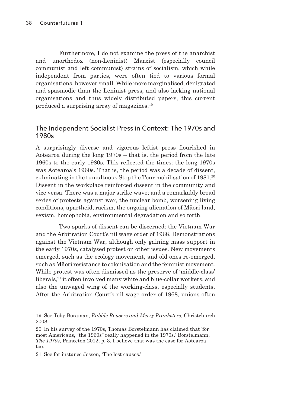Furthermore, I do not examine the press of the anarchist and unorthodox (non-Leninist) Marxist (especially council communist and left communist) strains of socialism, which while independent from parties, were often tied to various formal organisations, however small. While more marginalised, denigrated and spasmodic than the Leninist press, and also lacking national organisations and thus widely distributed papers, this current produced a surprising array of magazines.19

#### The Independent Socialist Press in Context: The 1970s and 1980s

A surprisingly diverse and vigorous leftist press flourished in Aotearoa during the long 1970s – that is, the period from the late 1960s to the early 1980s. This reflected the times: the long 1970s was Aotearoa's 1960s. That is, the period was a decade of dissent, culminating in the tumultuous Stop the Tour mobilisation of  $1981<sup>20</sup>$ Dissent in the workplace reinforced dissent in the community and vice versa. There was a major strike wave; and a remarkably broad series of protests against war, the nuclear bomb, worsening living conditions, apartheid, racism, the ongoing alienation of Māori land, sexism, homophobia, environmental degradation and so forth.

Two sparks of dissent can be discerned: the Vietnam War and the Arbitration Court's nil wage order of 1968. Demonstrations against the Vietnam War, although only gaining mass support in the early 1970s, catalysed protest on other issues. New movements emerged, such as the ecology movement, and old ones re-emerged, such as Māori resistance to colonisation and the feminist movement. While protest was often dismissed as the preserve of 'middle-class' liberals,<sup>21</sup> it often involved many white and blue-collar workers, and also the unwaged wing of the working-class, especially students. After the Arbitration Court's nil wage order of 1968, unions often

21 See for instance Jesson, 'The lost causes.'

<sup>19</sup> See Toby Boraman, *Rabble Rousers and Merry Pranksters*, Christchurch 2008.

<sup>20</sup> In his survey of the 1970s, Thomas Borstelmann has claimed that 'for most Americans, "the 1960s" really happened in the 1970s.' Borstelmann, *The 1970s*, Princeton 2012, p. 3. I believe that was the case for Aotearoa too.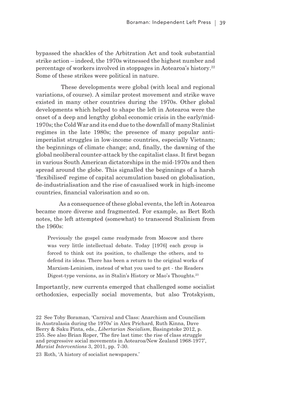bypassed the shackles of the Arbitration Act and took substantial strike action – indeed, the 1970s witnessed the highest number and percentage of workers involved in stoppages in Aotearoa's history.<sup>22</sup> Some of these strikes were political in nature.

 These developments were global (with local and regional variations, of course). A similar protest movement and strike wave existed in many other countries during the 1970s. Other global developments which helped to shape the left in Aotearoa were the onset of a deep and lengthy global economic crisis in the early/mid-1970s; the Cold War and its end due to the downfall of many Stalinist regimes in the late 1980s; the presence of many popular antiimperialist struggles in low-income countries, especially Vietnam; the beginnings of climate change; and, finally, the dawning of the global neoliberal counter-attack by the capitalist class. It first began in various South American dictatorships in the mid-1970s and then spread around the globe. This signalled the beginnings of a harsh 'flexibilised' regime of capital accumulation based on globalisation, de-industrialisation and the rise of casualised work in high-income countries, financial valorisation and so on.

As a consequence of these global events, the left in Aotearoa became more diverse and fragmented. For example, as Bert Roth notes, the left attempted (somewhat) to transcend Stalinism from the 1960s:

Previously the gospel came readymade from Moscow and there was very little intellectual debate. Today [1976] each group is forced to think out its position, to challenge the others, and to defend its ideas. There has been a return to the original works of Marxism-Leninism, instead of what you used to get - the Readers Digest-type versions, as in Stalin's History or Mao's Thoughts.<sup>23</sup>

Importantly, new currents emerged that challenged some socialist orthodoxies, especially social movements, but also Trotskyism,

23 Roth, 'A history of socialist newspapers.'

<sup>22</sup> See Toby Boraman, 'Carnival and Class: Anarchism and Councilism in Australasia during the 1970s' in Alex Prichard, Ruth Kinna, Dave Berry & Saku Pinta, eds., *Libertarian Socialism*, Basingstoke 2012, p. 255. See also Brian Roper, 'The fire last time: the rise of class struggle and progressive social movements in Aotearoa/New Zealand 1968-1977', *Marxist Interventions* 3, 2011, pp. 7-30.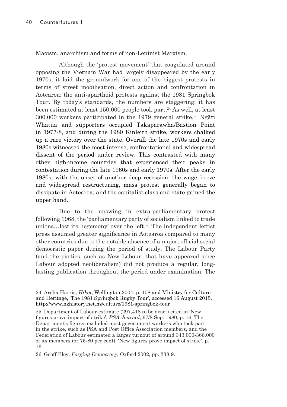Maoism, anarchism and forms of non-Leninist Marxism.

Although the 'protest movement' that coagulated around opposing the Vietnam War had largely disappeared by the early 1970s, it laid the groundwork for one of the biggest protests in terms of street mobilisation, direct action and confrontation in Aotearoa: the anti-apartheid protests against the 1981 Springbok Tour. By today's standards, the numbers are staggering: it has been estimated at least 150,000 people took part.<sup>24</sup> As well, at least  $300,000$  workers participated in the 1979 general strike,<sup>25</sup> Ngāti Whātua and supporters occupied Takaparawha/Bastion Point in 1977-8, and during the 1980 Kinleith strike, workers chalked up a rare victory over the state. Overall the late 1970s and early 1980s witnessed the most intense, confrontational and widespread dissent of the period under review. This contrasted with many other high-income countries that experienced their peaks in contestation during the late 1960s and early 1970s. After the early 1980s, with the onset of another deep recession, the wage-freeze and widespread restructuring, mass protest generally began to dissipate in Aotearoa, and the capitalist class and state gained the upper hand.

Due to the upswing in extra-parliamentary protest following 1968, the 'parliamentary party of socialism linked to trade unions…lost its hegemony' over the left.26 The independent leftist press assumed greater significance in Aotearoa compared to many other countries due to the notable absence of a major, official social democratic paper during the period of study. The Labour Party (and the parties, such as New Labour, that have appeared since Labour adopted neoliberalism) did not produce a regular, longlasting publication throughout the period under examination. The

25 Department of Labour estimate (297,418 to be exact) cited in 'New figures prove impact of strike', *PSA Journal*, 67/8 Sep. 1980, p. 16. The Department's figures excluded most government workers who took part in the strike, such as PSA and Post Office Association members, and the Federation of Labour estimated a larger turnout of around 343,000-366,000 of its members (or 75-80 per cent). 'New figures prove impact of strike', p. 16.

26 Geoff Eley, *Forging Democracy*, Oxford 2002, pp. 338-9.

<sup>24</sup> Aroha Harris, *Hīkoi*, Wellington 2004, p. 108 and Ministry for Culture and Heritage, 'The 1981 Springbok Rugby Tour', accessed 16 August 2015, http://www.nzhistory.net.nz/culture/1981-springbok-tour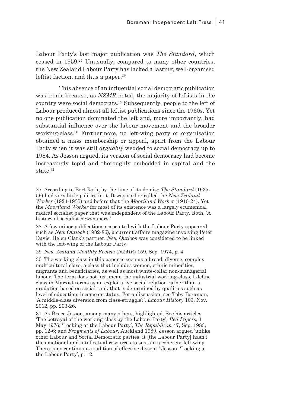Labour Party's last major publication was *The Standard*, which ceased in 1959.27 Unusually, compared to many other countries, the New Zealand Labour Party has lacked a lasting, well-organised leftist faction, and thus a paper.<sup>28</sup>

This absence of an influential social democratic publication was ironic because, as *NZMR* noted, the majority of leftists in the country were social democrats.29 Subsequently, people to the left of Labour produced almost all leftist publications since the 1960s. Yet no one publication dominated the left and, more importantly, had substantial influence over the labour movement and the broader working-class.<sup>30</sup> Furthermore, no left-wing party or organisation obtained a mass membership or appeal, apart from the Labour Party when it was still *arguably* wedded to social democracy up to 1984. As Jesson argued, its version of social democracy had become increasingly tepid and thoroughly embedded in capital and the state<sup>31</sup>

27 According to Bert Roth, by the time of its demise *The Standard* (1935- 59) had very little politics in it. It was earlier called the *New Zealand Worker* (1924-1935) and before that the *Maoriland Worker* (1910-24). Yet the *Maoriland Worker* for most of its existence was a largely ecumenical radical socialist paper that was independent of the Labour Party. Roth, 'A history of socialist newspapers.'

28 A few minor publications associated with the Labour Party appeared such as *New Outlook* (1982-86), a current affairs magazine involving Peter Davis, Helen Clark's partner. *New Outlook* was considered to be linked with the left-wing of the Labour Party.

29 *New Zealand Monthly Review* (*NZMR*) 159, Sep. 1974, p. 4.

30 The working-class in this paper is seen as a broad, diverse, complex multicultural class, a class that includes women, ethnic minorities, migrants and beneficiaries, as well as most white-collar non-managerial labour. The term does not just mean the industrial working-class. I define class in Marxist terms as an exploitative social relation rather than a gradation based on social rank that is determined by qualities such as level of education, income or status. For a discussion, see Toby Boraman, 'A middle-class diversion from class-struggle?', *Labour History* 103, Nov. 2012, pp. 203-26.

31 As Bruce Jesson, among many others, highlighted. See his articles 'The betrayal of the working-class by the Labour Party'*, Red Papers*, 1 May 1976; 'Looking at the Labour Party', *The Republican* 47, Sep. 1983, pp. 12-6; and *Fragments of Labour*, Auckland 1989. Jesson argued 'unlike other Labour and Social Democratic parties, it [the Labour Party] hasn't the emotional and intellectual resources to sustain a coherent left-wing. There is no continuous tradition of effective dissent.' Jesson, 'Looking at the Labour Party', p. 12.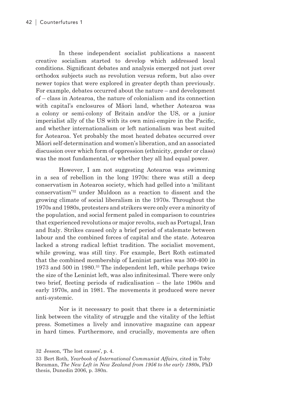In these independent socialist publications a nascent creative socialism started to develop which addressed local conditions. Significant debates and analysis emerged not just over orthodox subjects such as revolution versus reform, but also over newer topics that were explored in greater depth than previously. For example, debates occurred about the nature – and development of – class in Aotearoa, the nature of colonialism and its connection with capital's enclosures of Māori land, whether Aotearoa was a colony or semi-colony of Britain and/or the US, or a junior imperialist ally of the US with its own mini-empire in the Pacific, and whether internationalism or left nationalism was best suited for Aotearoa. Yet probably the most heated debates occurred over Māori self-determination and women's liberation, and an associated discussion over which form of oppression (ethnicity, gender or class) was the most fundamental, or whether they all had equal power.

However, I am not suggesting Aotearoa was swimming in a sea of rebellion in the long 1970s: there was still a deep conservatism in Aotearoa society, which had gelled into a 'militant conservatism'<sup>32</sup> under Muldoon as a reaction to dissent and the growing climate of social liberalism in the 1970s. Throughout the 1970s and 1980s, protesters and strikers were only ever a minority of the population, and social ferment paled in comparison to countries that experienced revolutions or major revolts, such as Portugal, Iran and Italy. Strikes caused only a brief period of stalemate between labour and the combined forces of capital and the state. Aotearoa lacked a strong radical leftist tradition. The socialist movement, while growing, was still tiny. For example, Bert Roth estimated that the combined membership of Leninist parties was 300-400 in 1973 and 500 in 1980.<sup>33</sup> The independent left, while perhaps twice the size of the Leninist left, was also infinitesimal. There were only two brief, fleeting periods of radicalisation – the late 1960s and early 1970s, and in 1981. The movements it produced were never anti-systemic.

Nor is it necessary to posit that there is a deterministic link between the vitality of struggle and the vitality of the leftist press. Sometimes a lively and innovative magazine can appear in hard times. Furthermore, and crucially, movements are often

<sup>32</sup> Jesson, 'The lost causes', p. 4.

<sup>33</sup> Bert Roth, *Yearbook of International Communist Affairs*, cited in Toby Boraman, *The New Left in New Zealand from 1956 to the early 1980s*, PhD thesis, Dunedin 2006, p. 380n.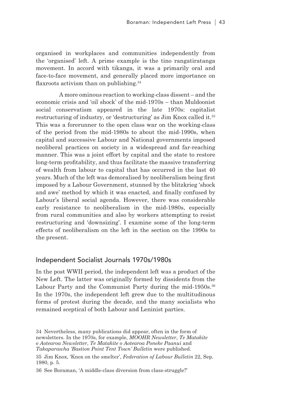organised in workplaces and communities independently from the 'organised' left. A prime example is the tino rangatiratanga movement. In accord with tikanga, it was a primarily oral and face-to-face movement, and generally placed more importance on flaxroots activism than on publishing.<sup>34</sup>

A more ominous reaction to working-class dissent – and the economic crisis and 'oil shock' of the mid-1970s – than Muldoonist social conservatism appeared in the late 1970s: capitalist restructuring of industry, or 'destructuring' as Jim Knox called it.<sup>35</sup> This was a forerunner to the open class war on the working-class of the period from the mid-1980s to about the mid-1990s, when capital and successive Labour and National governments imposed neoliberal practices on society in a widespread and far-reaching manner. This was a joint effort by capital and the state to restore long-term profitability, and thus facilitate the massive transferring of wealth from labour to capital that has occurred in the last 40 years. Much of the left was demoralised by neoliberalism being first imposed by a Labour Government, stunned by the blitzkrieg 'shock and awe' method by which it was enacted, and finally confused by Labour's liberal social agenda. However, there was considerable early resistance to neoliberalism in the mid-1980s, especially from rural communities and also by workers attempting to resist restructuring and 'downsizing'. I examine some of the long-term effects of neoliberalism on the left in the section on the 1990s to the present.

#### Independent Socialist Journals 1970s/1980s

In the post WWII period, the independent left was a product of the New Left. The latter was originally formed by dissidents from the Labour Party and the Communist Party during the mid-1950s.<sup>36</sup> In the 1970s, the independent left grew due to the multitudinous forms of protest during the decade, and the many socialists who remained sceptical of both Labour and Leninist parties.

35 Jim Knox, 'Knox on the smelter', *Federation of Labour Bulletin* 22, Sep. 1980, p. 5.

36 See Boraman, 'A middle-class diversion from class-struggle?'

<sup>34</sup> Nevertheless, many publications did appear, often in the form of newsletters. In the 1970s, for example, *MOOHR Newsletter*, *Te Matakite o Aotearoa Newsletter*, *Te Matakite o Aotearoa Poneke Paanui* and *Takaparawha 'Bastion Point Tent Town' Bulletin* were published.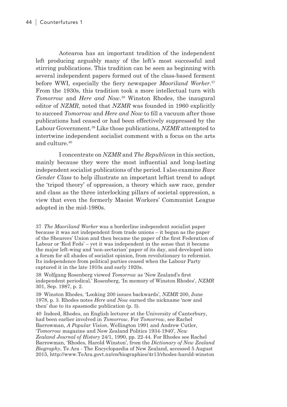Aotearoa has an important tradition of the independent left producing arguably many of the left's most successful and stirring publications. This tradition can be seen as beginning with several independent papers formed out of the class-based ferment before WWI, especially the fiery newspaper *Maoriland Worker*. 37 From the 1930s, this tradition took a more intellectual turn with *Tomorrow* and *Here and Now*. 38 Winston Rhodes, the inaugural editor of *NZMR*, noted that *NZMR* was founded in 1960 explicitly to succeed *Tomorrow* and *Here and Now* to fill a vacuum after those publications had ceased or had been effectively suppressed by the Labour Government.39 Like those publications, *NZMR* attempted to intertwine independent socialist comment with a focus on the arts and culture.40

I concentrate on *NZMR* and *The Republican* in this section, mainly because they were the most influential and long-lasting independent socialist publications of the period. I also examine *Race Gender Class* to help illustrate an important leftist trend to adopt the 'tripod theory' of oppression, a theory which saw race, gender and class as the three interlocking pillars of societal oppression, a view that even the formerly Maoist Workers' Communist League adopted in the mid-1980s.

37 *The Maoriland Worker* was a borderline independent socialist paper because it was not independent from trade unions – it began as the paper of the Shearers' Union and then became the paper of the first Federation of Labour or 'Red Feds' – yet it was independent in the sense that it became the major left-wing and 'non-sectarian' paper of its day, and developed into a forum for all shades of socialist opinion, from revolutionary to reformist. Its independence from political parties ceased when the Labour Party captured it in the late 1910s and early 1920s.

38 Wolfgang Rosenberg viewed *Tomorrow* as 'New Zealand's first independent periodical.' Rosenberg, 'In memory of Winston Rhodes', *NZMR* 301, Sep. 1987, p. 2.

39 Winston Rhodes, 'Looking 200 issues backwards', *NZMR* 200, June 1978, p. 3. Rhodes notes *Here and Now* earned the nickname 'now and then' due to its spasmodic publication (p. 3).

40 Indeed, Rhodes, an English lecturer at the University of Canterbury, had been earlier involved in *Tomorrow*. For *Tomorrow*, see Rachel Barrowman, *A Popular Vision*, Wellington 1991 and Andrew Cutler, '*Tomorrow* magazine and New Zealand Politics 1934-1940', *New Zealand Journal of History* 24/1, 1990, pp. 22-44. For Rhodes see Rachel Barrowman, 'Rhodes, Harold Winston', from the *Dictionary of New Zealand Biography*, Te Ara - The Encyclopaedia of New Zealand, accessed 5 August 2015, http://www.TeAra.govt.nz/en/biographies/4r13/rhodes-harold-winston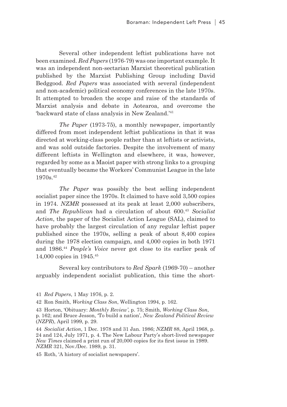Several other independent leftist publications have not been examined. *Red Papers* (1976-79) was one important example. It was an independent non-sectarian Marxist theoretical publication published by the Marxist Publishing Group including David Bedggood. *Red Papers* was associated with several (independent and non-academic) political economy conferences in the late 1970s. It attempted to broaden the scope and raise of the standards of Marxist analysis and debate in Aotearoa, and overcome the 'backward state of class analysis in New Zealand.'41

*The Paper* (1973-75), a monthly newspaper, importantly differed from most independent leftist publications in that it was directed at working-class people rather than at leftists or activists, and was sold outside factories. Despite the involvement of many different leftists in Wellington and elsewhere, it was, however, regarded by some as a Maoist paper with strong links to a grouping that eventually became the Workers' Communist League in the late 1970s.<sup>42</sup>

*The Paper* was possibly the best selling independent socialist paper since the 1970s. It claimed to have sold 3,500 copies in 1974. *NZMR* possessed at its peak at least 2,000 subscribers, and *The Republican* had a circulation of about 600.<sup>43</sup> *Socialist Action*, the paper of the Socialist Action League (SAL), claimed to have probably the largest circulation of any regular leftist paper published since the 1970s, selling a peak of about 8,400 copies during the 1978 election campaign, and 4,000 copies in both 1971 and 1986.<sup>44</sup> *People's Voice* never got close to its earlier peak of 14,000 copies in 1945.<sup>45</sup>

Several key contributors to *Red Spark* (1969-70) – another arguably independent socialist publication, this time the short-

<sup>41</sup> *Red Papers*, 1 May 1976, p. 2.

<sup>42</sup> Ron Smith, *Working Class Son*, Wellington 1994, p. 162.

<sup>43</sup> Horton, 'Obituary: *Monthly Review'*, p. 75; Smith, *Working Class Son*, p. 162; and Bruce Jesson, 'To build a nation', *New Zealand Political Review*  (*NZPR*), April 1999, p. 29.

<sup>44</sup> *Socialist Action*, 1 Dec. 1978 and 31 Jan. 1986; *NZMR* 88, April 1968, p. 24 and 124, July 1971, p. 4. The New Labour Party's short-lived newspaper *New Times* claimed a print run of 20,000 copies for its first issue in 1989. *NZMR* 321, Nov./Dec. 1989, p. 31.

<sup>45</sup> Roth, 'A history of socialist newspapers'.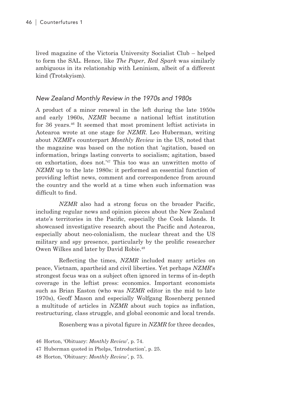lived magazine of the Victoria University Socialist Club – helped to form the SAL. Hence, like *The Paper*, *Red Spark* was similarly ambiguous in its relationship with Leninism, albeit of a different kind (Trotskyism).

#### New Zealand Monthly Review in the 1970s and 1980s

A product of a minor renewal in the left during the late 1950s and early 1960s, *NZMR* became a national leftist institution for 36 years.46 It seemed that most prominent leftist activists in Aotearoa wrote at one stage for *NZMR*. Leo Huberman, writing about *NZMR*'s counterpart *Monthly Review* in the US, noted that the magazine was based on the notion that 'agitation, based on information, brings lasting converts to socialism; agitation, based on exhortation, does not.'47 This too was an unwritten motto of *NZMR* up to the late 1980s: it performed an essential function of providing leftist news, comment and correspondence from around the country and the world at a time when such information was difficult to find.

*NZMR* also had a strong focus on the broader Pacific, including regular news and opinion pieces about the New Zealand state's territories in the Pacific, especially the Cook Islands. It showcased investigative research about the Pacific and Aotearoa, especially about neo-colonialism, the nuclear threat and the US military and spy presence, particularly by the prolific researcher Owen Wilkes and later by David Robie.48

Reflecting the times, *NZMR* included many articles on peace, Vietnam, apartheid and civil liberties. Yet perhaps *NZMR*'s strongest focus was on a subject often ignored in terms of in-depth coverage in the leftist press: economics. Important economists such as Brian Easton (who was *NZMR* editor in the mid to late 1970s), Geoff Mason and especially Wolfgang Rosenberg penned a multitude of articles in *NZMR* about such topics as inflation, restructuring, class struggle, and global economic and local trends.

Rosenberg was a pivotal figure in *NZMR* for three decades,

46 Horton, 'Obituary: *Monthly Review*', p. 74.

- 47 Huberman quoted in Phelps, 'Introduction', p. 25.
- 48 Horton, 'Obituary: *Monthly Review'*, p. 75.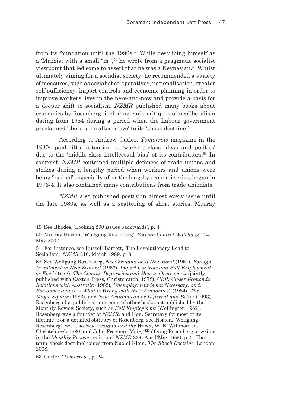from its foundation until the 1990s.<sup>49</sup> While describing himself as a 'Marxist with a small "m"',50 he wrote from a pragmatic socialist viewpoint that led some to assert that he was a Keynesian.<sup>51</sup> Whilst ultimately aiming for a socialist society, he recommended a variety of measures, such as socialist co-operatives, nationalisation, greater self-sufficiency, import controls and economic planning in order to improve workers lives in the here-and-now and provide a basis for a deeper shift to socialism. *NZMR* published many books about economics by Rosenberg, including early critiques of neoliberalism dating from 1984 during a period when the Labour government proclaimed 'there is no alternative' to its 'shock doctrine.'<sup>52</sup>

According to Andrew Cutler, *Tomorrow* magazine in the 1930s paid little attention to 'working-class ideas and politics' due to the 'middle-class intellectual bias' of its contributors.53 In contrast, *NZMR* contained multiple defences of trade unions and strikes during a lengthy period when workers and unions were being 'bashed', especially after the lengthy economic crisis began in 1973-4. It also contained many contributions from trade unionists.

*NZMR* also published poetry in almost every issue until the late 1980s, as well as a scattering of short stories. Murray

49 See Rhodes, 'Looking 200 issues backwards', p. 4.

50 Murray Horton, 'Wolfgang Rosenberg', *Foreign Control Watchdog* 114, May 2007.

51 For instance, see Russell Barrett, 'The Revolutionary Road to Socialism', *NZMR* 316, March 1989, p. 8.

52 See Wolfgang Rosenberg, *New Zealand on a New Road* (1961), *Foreign Investment in New Zealand* (1966), *Import Controls and Full Employment or Else!* (1972), *The Coming Depression and How to Overcome it* (jointly published with Caxton Press, Christchurch, 1978), *CER: Closer Economic Relations with Australia* (1982), *Unemployment is not Necessary, and, Bob Jones and co. - What is Wrong with their Economics?* (1984), *The Magic Square* (1986), and *New Zealand can be Different and Better* (1993). Rosenberg also published a number of other books not published by the Monthly Review Society, such as *Full Employment* (Wellington 1962). Rosenberg was a founder of *NZMR*, and Hon. Secretary for most of its lifetime. For a detailed obituary of Rosenberg, see Horton, 'Wolfgang Rosenberg'. See also *New Zealand and the World*, W. E. Willmott ed., Christchurch 1980; and John Freeman-Moir, 'Wolfgang Rosenberg: a writer in the *Monthly Review* tradition,' *NZMR* 324, April/May 1990, p. 2. The term 'shock doctrine' comes from Naomi Klein, *The Shock Doctrine*, London 2008.

53 Cutler, '*Tomorrow*', p. 24.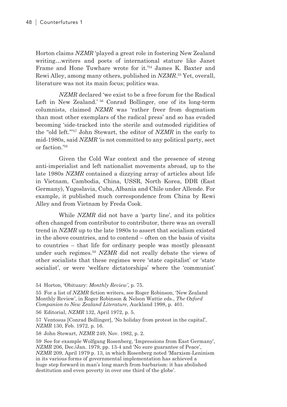Horton claims *NZMR* 'played a great role in fostering New Zealand writing…writers and poets of international stature like Janet Frame and Hone Tuwhare wrote for it.'<sup>54</sup> James K. Baxter and Rewi Alley, among many others, published in *NZMR*. <sup>55</sup> Yet, overall, literature was not its main focus; politics was.

*NZMR* declared 'we exist to be a free forum for the Radical Left in New Zealand.' <sup>56</sup> Conrad Bollinger, one of its long-term columnists, claimed *NZMR* was 'rather freer from dogmatism than most other exemplars of the radical press' and so has evaded becoming 'side-tracked into the sterile and outmoded rigidities of the "old left."'57 John Stewart, the editor of *NZMR* in the early to mid-1980s, said *NZMR* 'is not committed to any political party, sect or faction.'58

Given the Cold War context and the presence of strong anti-imperialist and left nationalist movements abroad, up to the late 1980s *NZMR* contained a dizzying array of articles about life in Vietnam, Cambodia, China, USSR, North Korea, DDR (East Germany), Yugoslavia, Cuba, Albania and Chile under Allende. For example, it published much correspondence from China by Rewi Alley and from Vietnam by Freda Cook.

While *NZMR* did not have a 'party line', and its politics often changed from contributor to contributor, there was an overall trend in *NZMR* up to the late 1980s to assert that socialism existed in the above countries, and to contend – often on the basis of visits to countries – that life for ordinary people was mostly pleasant under such regimes.59 *NZMR* did not really debate the views of other socialists that these regimes were 'state capitalist' or 'state socialist', or were 'welfare dictatorships' where the 'communist'

55 For a list of *NZMR* fiction writers, see Roger Robinson, 'New Zealand Monthly Review', in Roger Robinson & Nelson Wattie eds., *The Oxford Companion to New Zealand Literature*, Auckland 1998, p. 401.

56 Editorial, *NZMR* 132, April 1972, p. 5.

57 Ventosus [Conrad Bollinger], 'No holiday from protest in the capital', *NZMR* 130, Feb. 1972, p. 16.

58 John Stewart, *NZMR* 249, Nov. 1982, p. 2.

59 See for example Wolfgang Rosenberg, 'Impressions from East Germany', *NZMR* 206, Dec./Jan. 1979, pp. 13-4 and 'No sure guarantee of Peace', *NZMR* 209, April 1979 p. 13, in which Rosenberg noted 'Marxism-Leninism in its various forms of governmental implementation has achieved a huge step forward in man's long march from barbarism: it has abolished destitution and even poverty in over one third of the globe'.

<sup>54</sup> Horton, 'Obituary: *Monthly Review'*, p. 75.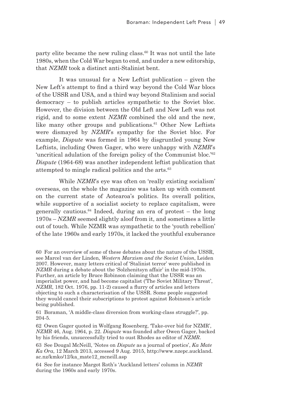party elite became the new ruling class.60 It was not until the late 1980s, when the Cold War began to end, and under a new editorship, that *NZMR* took a distinct anti-Stalinist bent.

It was unusual for a New Leftist publication – given the New Left's attempt to find a third way beyond the Cold War blocs of the USSR and USA, and a third way beyond Stalinism and social democracy – to publish articles sympathetic to the Soviet bloc. However, the division between the Old Left and New Left was not rigid, and to some extent *NZMR* combined the old and the new, like many other groups and publications.<sup>61</sup> Other New Leftists were dismayed by *NZMR*'s sympathy for the Soviet bloc. For example, *Dispute* was formed in 1964 by disgruntled young New Leftists, including Owen Gager, who were unhappy with *NZMR*'s 'uncritical adulation of the foreign policy of the Communist bloc.'62 *Dispute* (1964-68) was another independent leftist publication that attempted to mingle radical politics and the arts.<sup>63</sup>

While *NZMR*'s eye was often on 'really existing socialism' overseas, on the whole the magazine was taken up with comment on the current state of Aotearoa's politics. Its overall politics, while supportive of a socialist society to replace capitalism, were generally cautious.64 Indeed, during an era of protest – the long 1970s – *NZMR* seemed slightly aloof from it, and sometimes a little out of touch. While NZMR was sympathetic to the 'youth rebellion' of the late 1960s and early 1970s, it lacked the youthful exuberance

60 For an overview of some of these debates about the nature of the USSR, see Marcel van der Linden, *Western Marxism and the Soviet Union*, Leiden 2007. However, many letters critical of 'Stalinist terror' were published in *NZMR* during a debate about the 'Solzhenitsyn affair' in the mid-1970s. Further, an article by Bruce Robinson claiming that the USSR was an imperialist power, and had become capitalist ('The Soviet Military Threat', *NZMR*, 182 Oct. 1976, pp. 11-2) caused a flurry of articles and letters objecting to such a characterisation of the USSR. Some people suggested they would cancel their subscriptions to protest against Robinson's article being published.

61 Boraman, 'A middle-class diversion from working-class struggle?', pp. 204-5.

62 Owen Gager quoted in Wolfgang Rosenberg, 'Take-over bid for NZMR', *NZMR* 46, Aug. 1964, p. 22. *Dispute* was founded after Owen Gager, backed by his friends, unsuccessfully tried to oust Rhodes as editor of *NZMR*.

63 See Dougal McNeill, 'Notes on *Dispute* as a journal of poetics', *Ka Mate Ka Ora*, 12 March 2013, accessed 9 Aug. 2015, http://www.nzepc.auckland. ac.nz/kmko/12/ka\_mate12\_mcneill.asp

64 See for instance Margot Roth's 'Auckland letters' column in *NZMR* during the 1960s and early 1970s.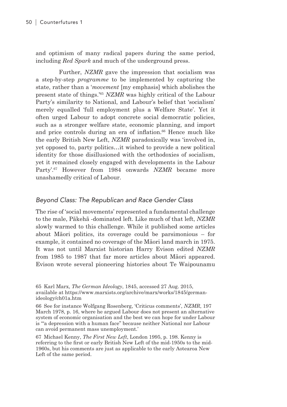and optimism of many radical papers during the same period, including *Red Spark* and much of the underground press.

Further, *NZMR* gave the impression that socialism was a step-by-step *programme* to be implemented by capturing the state, rather than a '*movement* [my emphasis] which abolishes the present state of things.'65 *NZMR* was highly critical of the Labour Party's similarity to National, and Labour's belief that 'socialism' merely equalled 'full employment plus a Welfare State'. Yet it often urged Labour to adopt concrete social democratic policies, such as a stronger welfare state, economic planning, and import and price controls during an era of inflation.<sup>66</sup> Hence much like the early British New Left, *NZMR* paradoxically was 'involved in, yet opposed to, party politics…it wished to provide a new political identity for those disillusioned with the orthodoxies of socialism, yet it remained closely engaged with developments in the Labour Party'.67 However from 1984 onwards *NZMR* became more unashamedly critical of Labour.

#### Beyond Class: The Republican and Race Gender Class

The rise of 'social movements' represented a fundamental challenge to the male, Pākehā -dominated left. Like much of that left, *NZMR* slowly warmed to this challenge. While it published some articles about Māori politics, its coverage could be parsimonious – for example, it contained no coverage of the Māori land march in 1975. It was not until Marxist historian Harry Evison edited *NZMR* from 1985 to 1987 that far more articles about Māori appeared. Evison wrote several pioneering histories about Te Waipounamu

<sup>65</sup> Karl Marx, *The German Ideology*, 1845, accessed 27 Aug. 2015, available at https://www.marxists.org/archive/marx/works/1845/germanideology/ch01a.htm

<sup>66</sup> See for instance Wolfgang Rosenberg, 'Criticus comments', *NZMR*, 197 March 1978, p. 16, where he argued Labour does not present an alternative system of economic organisation and the best we can hope for under Labour is '"a depression with a human face" because neither National nor Labour can avoid permanent mass unemployment.'

<sup>67</sup> Michael Kenny, *The First New Left*, London 1995, p. 198. Kenny is referring to the first or early British New Left of the mid-1950s to the mid-1960s, but his comments are just as applicable to the early Aotearoa New Left of the same period.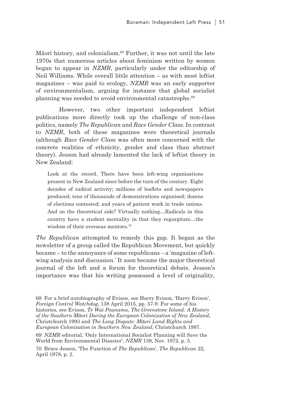Māori history, and colonialism.68 Further, it was not until the late 1970s that numerous articles about feminism written by women began to appear in *NZMR*, particularly under the editorship of Neil Williams. While overall little attention – as with most leftist magazines – was paid to ecology, *NZMR* was an early supporter of environmentalism, arguing for instance that global socialist planning was needed to avoid environmental catastrophe.<sup>69</sup>

However, two other important independent leftist publications more directly took up the challenge of non-class politics, namely *The Republican* and *Race Gender Class*. In contrast to *NZMR*, both of these magazines were theoretical journals (although *Race Gender Class* was often more concerned with the concrete realities of ethnicity, gender and class than abstract theory). Jesson had already lamented the lack of leftist theory in New Zealand:

Look at the record. There have been left-wing organisations present in New Zealand since before the turn of the century. Eight decades of radical activity; millions of leaflets and newspapers produced; tens of thousands of demonstrations organised; dozens of elections contested; and years of patient work in trade unions. And on the theoretical side? Virtually nothing…Radicals in this country have a student mentality in that they regurgitate…the wisdom of their overseas mentors<sup>70</sup>

*The Republican* attempted to remedy this gap. It began as the newsletter of a group called the Republican Movement, but quickly became – to the annoyance of some republicans – a 'magazine of leftwing analysis and discussion.' It soon became the major theoretical journal of the left and a forum for theoretical debate. Jesson's importance was that his writing possessed a level of originality,

68 For a brief autobiography of Evison, see Harry Evison, 'Harry Evison', *Foreign Control Watchdog*, 138 April 2015, pp. 57-9. For some of his histories, see Evison, *Te Wai Pounamu, The Greenstone Island: A History of the Southern Māori During the European Colonization of New Zealand*, Christchurch 1993 and *The Long Dispute: Māori Land Rights and European Colonisation in Southern New Zealand*, Christchurch 1997.

69 *NZMR* editorial, 'Only International Socialist Planning will Save the World from Environmental Disaster', *NZMR* 139, Nov. 1972, p. 5.

70 Bruce Jesson, 'The Function of *The Republican*', *The Republican* 22, April 1978, p. 2.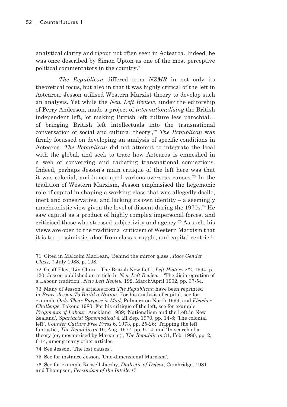analytical clarity and rigour not often seen in Aotearoa. Indeed, he was once described by Simon Upton as one of the most perceptive political commentators in the country.71

*The Republican* differed from *NZMR* in not only its theoretical focus, but also in that it was highly critical of the left in Aotearoa. Jesson utilised Western Marxist theory to develop such an analysis. Yet while the *New Left Review*, under the editorship of Perry Anderson, made a project of *internationalising* the British independent left, 'of making British left culture less parochial… of bringing British left intellectuals into the transnational conversation of social and cultural theory',72 *The Republican* was firmly focussed on developing an analysis of specific conditions in Aotearoa. *The Republican* did not attempt to integrate the local with the global, and seek to trace how Aotearoa is enmeshed in a web of converging and radiating transnational connections. Indeed, perhaps Jesson's main critique of the left here was that it was colonial, and hence aped various overseas causes.73 In the tradition of Western Marxism, Jesson emphasised the hegemonic role of capital in shaping a working-class that was allegedly docile, inert and conservative, and lacking its own identity – a seemingly anachronistic view given the level of dissent during the 1970s.74 He saw capital as a product of highly complex impersonal forces, and criticised those who stressed subjectivity and agency.75 As such, his views are open to the traditional criticism of Western Marxism that it is too pessimistic, aloof from class struggle, and capital-centric.76

71 Cited in Malcolm MacLean, 'Behind the mirror glass', *Race Gender Class*, 7 July 1988, p. 108.

72 Geoff Eley, 'Lin Chun – The British New Left', *Left History* 2/2, 1994, p. 120. Jesson published an article in *New Left Review* – 'The disintegration of a Labour tradition', *New Left Review* 192, March/April 1992, pp. 37-54.

73 Many of Jesson's articles from *The Republican* have been reprinted in *Bruce Jesson To Build a Nation*. For his analysis of capital, see for example *Only Their Purpose is Mad*, Palmerston North 1999, and *Fletcher Challenge*, Pokeno 1980. For his critique of the left, see for example *Fragments of Labour*, Auckland 1989; 'Nationalism and the Left in New Zealand', *Spartacist Spasmodical* 4, 21 Sep. 1970, pp. 14-8; 'The colonial left', *Counter Culture Free Press* 6, 1973, pp. 25-26; 'Tripping the left fantastic', *The Republican* 19, Aug. 1977, pp. 9-14; and 'In search of a theory (or, mesmerised by Marxism)', *The Republican* 31, Feb. 1980, pp. 2, 6-14, among many other articles.

74 See Jesson, 'The lost causes'.

75 See for instance Jesson, 'One-dimensional Marxism'.

76 See for example Russell Jacoby, *Dialectic of Defeat*, Cambridge, 1981 and Thompson, *Pessimism of the Intellect?*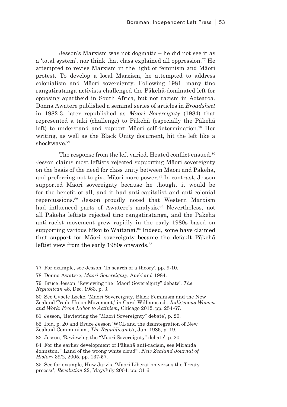Jesson's Marxism was not dogmatic – he did not see it as a 'total system', nor think that class explained all oppression.<sup>77</sup> He attempted to revise Marxism in the light of feminism and Māori protest. To develop a local Marxism, he attempted to address colonialism and Māori sovereignty. Following 1981, many tino rangatiratanga activists challenged the Pākehā-dominated left for opposing apartheid in South Africa, but not racism in Aotearoa. Donna Awatere published a seminal series of articles in *Broadsheet* in 1982-3, later republished as *Maori Sovereignty* (1984) that represented a taki (challenge) to Pākehā (especially the Pākehā left) to understand and support Māori self-determination.78 Her writing, as well as the Black Unity document, hit the left like a shockwave.79

The response from the left varied. Heated conflict ensued.<sup>80</sup> Jesson claims most leftists rejected supporting Māori sovereignty on the basis of the need for class unity between Māori and Pākehā, and preferring not to give Māori more power.<sup>81</sup> In contrast, Jesson supported Māori sovereignty because he thought it would be for the benefit of all, and it had anti-capitalist and anti-colonial repercussions.82 Jesson proudly noted that Western Marxism had influenced parts of Awatere's analysis.<sup>83</sup> Nevertheless, not all Pākehā leftists rejected tino rangatiratanga, and the Pākehā anti-racist movement grew rapidly in the early 1980s based on supporting various hīkoi to Waitangi.<sup>84</sup> Indeed, some have claimed that support for Māori sovereignty became the default Pākehā leftist view from the early 1980s onwards.<sup>85</sup>

77 For example, see Jesson, 'In search of a theory', pp. 9-10.

78 Donna Awatere, *Maori Sovereignty*, Auckland 1984.

79 Bruce Jesson, 'Reviewing the "Maori Sovereignty" debate', *The Republican* 48, Dec. 1983, p. 3.

80 See Cybele Locke, 'Maori Sovereignty, Black Feminism and the New Zealand Trade Union Movement,' in Carol Williams ed., *Indigenous Women and Work: From Labor to Activism*, Chicago 2012, pp. 254-67.

81 Jesson, 'Reviewing the "Maori Sovereignty" debate', p. 20.

82 Ibid, p. 20 and Bruce Jesson 'WCL and the disintegration of New Zealand Communism', *The Republican* 57, Jan. 1986, p. 19.

83 Jesson, 'Reviewing the "Maori Sovereignty" debate', p. 20.

84 For the earlier development of Pākehā anti-racism, see Miranda Johnston, '"Land of the wrong white cloud"', *New Zealand Journal of History* 39/2, 2005, pp. 137-57.

85 See for example, Huw Jarvis, 'Maori Liberation versus the Treaty process', *Revolution* 22, May/July 2004, pp. 31-6.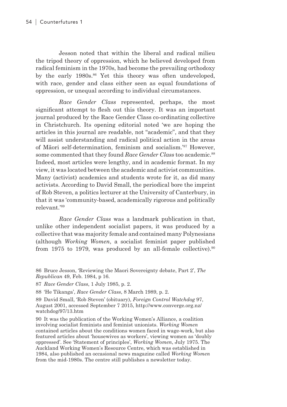Jesson noted that within the liberal and radical milieu the tripod theory of oppression, which he believed developed from radical feminism in the 1970s, had become the prevailing orthodoxy by the early 1980s.<sup>86</sup> Yet this theory was often undeveloped, with race, gender and class either seen as equal foundations of oppression, or unequal according to individual circumstances.

*Race Gender Class* represented, perhaps, the most significant attempt to flesh out this theory. It was an important journal produced by the Race Gender Class co-ordinating collective in Christchurch. Its opening editorial noted 'we are hoping the articles in this journal are readable, not "academic", and that they will assist understanding and radical political action in the areas of Māori self-determination, feminism and socialism.'87 However, some commented that they found *Race Gender Class* too academic.<sup>88</sup> Indeed, most articles were lengthy, and in academic format. In my view, it was located between the academic and activist communities. Many (activist) academics and students wrote for it, as did many activists. According to David Small, the periodical bore the imprint of Rob Steven, a politics lecturer at the University of Canterbury, in that it was 'community-based, academically rigorous and politically relevant.'89

*Race Gender Class* was a landmark publication in that, unlike other independent socialist papers, it was produced by a collective that was majority female and contained many Polynesians (although *Working Women*, a socialist feminist paper published from 1975 to 1979, was produced by an all-female collective).<sup>90</sup>

87 *Race Gender Class*, 1 July 1985, p. 2.

88 'He Tikanga', *Race Gender Class*, 8 March 1989, p. 2.

89 David Small, 'Rob Steven' (obituary), *Foreign Control Watchdog* 97, August 2001, accessed September 7 2015, http://www.converge.org.nz/ watchdog/97/13.htm

90 It was the publication of the Working Women's Alliance, a coalition involving socialist feminists and feminist unionists. *Working Women* contained articles about the conditions women faced in wage-work, but also featured articles about 'housewives as workers', viewing women as 'doubly oppressed'. See 'Statement of principles', *Working Women*, July 1975. The Auckland Working Women's Resource Centre, which was established in 1984, also published an occasional news magazine called *Working Women* from the mid-1980s. The centre still publishes a newsletter today.

<sup>86</sup> Bruce Jesson, 'Reviewing the Maori Sovereignty debate, Part 2', *The Republican* 49, Feb. 1984, p 16.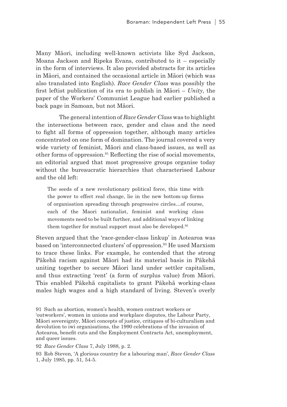Many Māori, including well-known activists like Syd Jackson, Moana Jackson and Ripeka Evans, contributed to it – especially in the form of interviews. It also provided abstracts for its articles in Māori, and contained the occasional article in Māori (which was also translated into English). *Race Gender Class* was possibly the first leftist publication of its era to publish in Māori – *Unity*, the paper of the Workers' Communist League had earlier published a back page in Samoan, but not Māori.

The general intention of *Race Gender Class* was to highlight the intersections between race, gender and class and the need to fight all forms of oppression together, although many articles concentrated on one form of domination. The journal covered a very wide variety of feminist, Māori and class-based issues, as well as other forms of oppression.<sup>91</sup> Reflecting the rise of social movements, an editorial argued that most progressive groups organise today without the bureaucratic hierarchies that characterised Labour and the old left:

The seeds of a new revolutionary political force, this time with the power to effect real change, lie in the new bottom-up forms of organisation spreading through progressive circles…of course, each of the Maori nationalist, feminist and working class movements need to be built further, and additional ways of linking them together for mutual support must also be developed.<sup>92</sup>

Steven argued that the 'race-gender-class linkup' in Aotearoa was based on 'interconnected clusters' of oppression.<sup>93</sup> He used Marxism to trace these links. For example, he contended that the strong Pākehā racism against Māori had its material basis in Pākehā uniting together to secure Māori land under settler capitalism, and thus extracting 'rent' (a form of surplus value) from Māori. This enabled Pākehā capitalists to grant Pākehā working-class males high wages and a high standard of living. Steven's overly

92 *Race Gender Class* 7, July 1988, p. 2.

93 Rob Steven, 'A glorious country for a labouring man', *Race Gender Class* 1, July 1985, pp. 51, 54-5.

<sup>91</sup> Such as abortion, women's health, women contract workers or 'outworkers', women in unions and workplace disputes, the Labour Party, Māori sovereignty, Māori concepts of justice, critiques of bi-culturalism and devolution to iwi organisations, the 1990 celebrations of the invasion of Aotearoa, benefit cuts and the Employment Contracts Act, unemployment, and queer issues.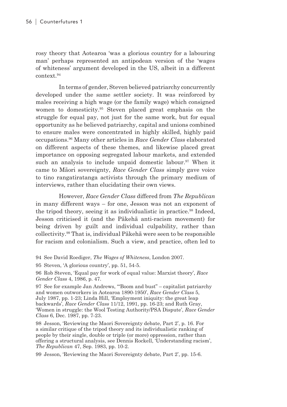rosy theory that Aotearoa 'was a glorious country for a labouring man' perhaps represented an antipodean version of the 'wages of whiteness' argument developed in the US, albeit in a different context.94

In terms of gender, Steven believed patriarchy concurrently developed under the same settler society. It was reinforced by males receiving a high wage (or the family wage) which consigned women to domesticity.95 Steven placed great emphasis on the struggle for equal pay, not just for the same work, but for equal opportunity as he believed patriarchy, capital and unions combined to ensure males were concentrated in highly skilled, highly paid occupations.96 Many other articles in *Race Gender Class* elaborated on different aspects of these themes, and likewise placed great importance on opposing segregated labour markets, and extended such an analysis to include unpaid domestic labour.<sup>97</sup> When it came to Māori sovereignty, *Race Gender Class* simply gave voice to tino rangatiratanga activists through the primary medium of interviews, rather than elucidating their own views.

However, *Race Gender Class* differed from *The Republican* in many different ways – for one, Jesson was not an exponent of the tripod theory, seeing it as individualistic in practice.<sup>98</sup> Indeed, Jesson criticised it (and the Pākehā anti-racism movement) for being driven by guilt and individual culpability, rather than collectivity.99 That is, individual Pākehā were seen to be responsible for racism and colonialism. Such a view, and practice, often led to

98 Jesson, 'Reviewing the Maori Sovereignty debate, Part 2', p. 16. For a similar critique of the tripod theory and its individualistic ranking of people by their single, double or triple (or more) oppression, rather than offering a structural analysis, see Dennis Rockell, 'Understanding racism', *The Republican* 47, Sep. 1983, pp. 10-2.

99 Jesson, 'Reviewing the Maori Sovereignty debate, Part 2', pp. 15-6.

<sup>94</sup> See David Roediger, *The Wages of Whiteness*, London 2007.

<sup>95</sup> Steven, 'A glorious country', pp. 51, 54-5.

<sup>96</sup> Rob Steven, 'Equal pay for work of equal value: Marxist theory', *Race Gender Class* 4, 1986, p. 47.

<sup>97</sup> See for example Jan Andrews, '"Boom and bust" – capitalist patriarchy and women outworkers in Aotearoa 1890-1950', *Race Gender Class* 5, July 1987, pp. 1-23; Linda Hill, 'Employment iniquity: the great leap backwards', *Race Gender Class* 11/12, 1991, pp. 16-23; and Ruth Gray, 'Women in struggle: the Wool Testing Authority/PSA Dispute', *Race Gender Class* 6, Dec. 1987, pp. 7-23.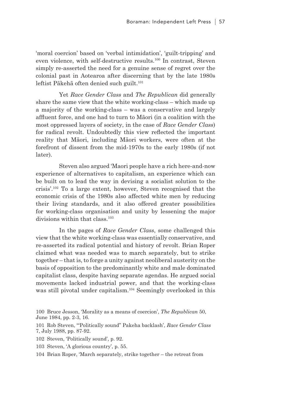'moral coercion' based on 'verbal intimidation', 'guilt-tripping' and even violence, with self-destructive results.100 In contrast, Steven simply re-asserted the need for a genuine sense of regret over the colonial past in Aotearoa after discerning that by the late 1980s leftist Pākehā often denied such guilt.<sup>101</sup>

Yet *Race Gender Class* and *The Republican* did generally share the same view that the white working-class – which made up a majority of the working-class – was a conservative and largely affluent force, and one had to turn to Māori (in a coalition with the most oppressed layers of society, in the case of *Race Gender Class*) for radical revolt. Undoubtedly this view reflected the important reality that Māori, including Māori workers, were often at the forefront of dissent from the mid-1970s to the early 1980s (if not later).

Steven also argued 'Maori people have a rich here-and-now experience of alternatives to capitalism, an experience which can be built on to lead the way in devising a socialist solution to the crisis'.102 To a large extent, however, Steven recognised that the economic crisis of the 1980s also affected white men by reducing their living standards, and it also offered greater possibilities for working-class organisation and unity by lessening the major divisions within that class.<sup>103</sup>

In the pages of *Race Gender Class*, some challenged this view that the white working-class was essentially conservative, and re-asserted its radical potential and history of revolt. Brian Roper claimed what was needed was to march separately, but to strike together – that is, to forge a unity against neoliberal austerity on the basis of opposition to the predominantly white and male dominated capitalist class, despite having separate agendas. He argued social movements lacked industrial power, and that the working-class was still pivotal under capitalism.<sup>104</sup> Seemingly overlooked in this

- 102 Steven, 'Politically sound', p. 92.
- 103 Steven, 'A glorious country', p. 55.

<sup>100</sup> Bruce Jesson, 'Morality as a means of coercion', *The Republican* 50, June 1984, pp. 2-3, 16.

<sup>101</sup> Rob Steven, '"Politically sound" Pakeha backlash', *Race Gender Class* 7, July 1988, pp. 87-92.

<sup>104</sup> Brian Roper, 'March separately, strike together – the retreat from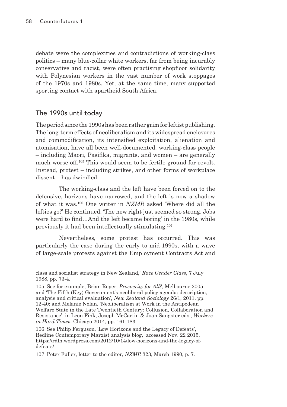debate were the complexities and contradictions of working-class politics – many blue-collar white workers, far from being incurably conservative and racist, were often practising shopfloor solidarity with Polynesian workers in the vast number of work stoppages of the 1970s and 1980s. Yet, at the same time, many supported sporting contact with apartheid South Africa.

#### The 1990s until today

The period since the 1990s has been rather grim for leftist publishing. The long-term effects of neoliberalism and its widespread enclosures and commodification, its intensified exploitation, alienation and atomisation, have all been well-documented: working-class people – including Māori, Pasifika, migrants, and women – are generally much worse off.105 This would seem to be fertile ground for revolt. Instead, protest – including strikes, and other forms of workplace dissent – has dwindled.

The working-class and the left have been forced on to the defensive, horizons have narrowed, and the left is now a shadow of what it was.106 One writer in *NZMR* asked 'Where did all the lefties go?' He continued: 'The new right just seemed so strong. Jobs were hard to find…And the left became boring' in the 1980s, while previously it had been intellectually stimulating.107

Nevertheless, some protest has occurred. This was particularly the case during the early to mid-1990s, with a wave of large-scale protests against the Employment Contracts Act and

105 See for example, Brian Roper, *Prosperity for All?*, Melbourne 2005 and 'The Fifth (Key) Government's neoliberal policy agenda: description, analysis and critical evaluation', *New Zealand Sociology* 26/1, 2011, pp. 12-40; and Melanie Nolan, 'Neoliberalism at Work in the Antipodean Welfare State in the Late Twentieth Century: Collusion, Collaboration and Resistance', in Leon Fink, Joseph McCartin & Joan Sangster eds., *Workers in Hard Times*, Chicago 2014, pp. 161-183.

106 See Philip Ferguson, 'Low Horizons and the Legacy of Defeats', Redline Contemporary Marxist analysis blog, accessed Nov. 22 2015, https://rdln.wordpress.com/2012/10/14/low-horizons-and-the-legacy-ofdefeats/

107 Peter Fuller, letter to the editor, *NZMR* 323, March 1990, p. 7.

class and socialist strategy in New Zealand,' *Race Gender Class*, 7 July 1988, pp. 73-4.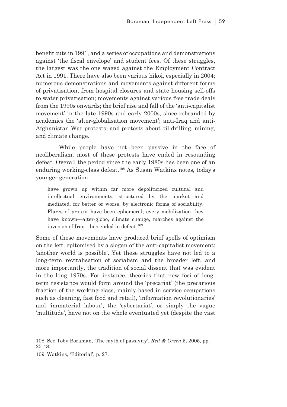benefit cuts in 1991, and a series of occupations and demonstrations against 'the fiscal envelope' and student fees. Of these struggles, the largest was the one waged against the Employment Contract Act in 1991. There have also been various hīkoi, especially in 2004; numerous demonstrations and movements against different forms of privatisation, from hospital closures and state housing sell-offs to water privatisation; movements against various free trade deals from the 1990s onwards; the brief rise and fall of the 'anti-capitalist movement' in the late 1990s and early 2000s, since rebranded by academics the 'alter-globalisation movement'; anti-Iraq and anti-Afghanistan War protests; and protests about oil drilling, mining, and climate change.

While people have not been passive in the face of neoliberalism, most of these protests have ended in resounding defeat. Overall the period since the early 1980s has been one of an enduring working-class defeat.108 As Susan Watkins notes, today's younger generation

have grown up within far more depoliticized cultural and intellectual environments, structured by the market and mediated, for better or worse, by electronic forms of sociability. Flares of protest have been ephemeral; every mobilization they have known—alter-globo, climate change, marches against the invasion of Iraq—has ended in defeat.<sup>109</sup>

Some of these movements have produced brief spells of optimism on the left, epitomised by a slogan of the anti-capitalist movement: 'another world is possible'. Yet these struggles have not led to a long-term revitalisation of socialism and the broader left, and more importantly, the tradition of social dissent that was evident in the long 1970s. For instance, theories that new foci of longterm resistance would form around the 'precariat' (the precarious fraction of the working-class, mainly based in service occupations such as cleaning, fast food and retail), 'information revolutionaries' and 'immaterial labour', the 'cybertariat', or simply the vague 'multitude', have not on the whole eventuated yet (despite the vast

108 See Toby Boraman, 'The myth of passivity', *Red & Green* 5, 2005, pp. 25-48.

109 Watkins, 'Editorial', p. 27.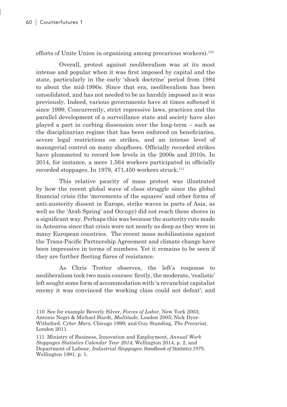efforts of Unite Union in organising among precarious workers).<sup>110</sup>

Overall, protest against neoliberalism was at its most intense and popular when it was first imposed by capital and the state, particularly in the early 'shock doctrine' period from 1984 to about the mid-1990s. Since that era, neoliberalism has been consolidated, and has not needed to be as harshly imposed as it was previously. Indeed, various governments have at times softened it since 1999. Concurrently, strict repressive laws, practices and the parallel development of a surveillance state and society have also played a part in curbing dissension over the long-term – such as the disciplinarian regime that has been enforced on beneficiaries, severe legal restrictions on strikes, and an intense level of managerial control on many shopfloors. Officially recorded strikes have plummeted to record low levels in the 2000s and 2010s. In 2014, for instance, a mere 1,564 workers participated in officially recorded stoppages. In 1979,  $471.450$  workers struck.<sup>111</sup>

This relative paucity of mass protest was illustrated by how the recent global wave of class struggle since the global financial crisis (the 'movements of the squares' and other forms of anti-austerity dissent in Europe, strike waves in parts of Asia, as well as the 'Arab Spring' and Occupy) did not reach these shores in a significant way. Perhaps this was because the austerity cuts made in Aotearoa since that crisis were not nearly as deep as they were in many European countries. The recent mass mobilisations against the Trans-Pacific Partnership Agreement and climate change have been impressive in terms of numbers. Yet it remains to be seen if they are further fleeting flares of resistance.

As Chris Trotter observes, the left's response to neoliberalism took two main courses: firstly, the moderate, 'realistic' left sought some form of accommodation with 'a revanchist capitalist enemy it was convinced the working class could not defeat'; and

111 Ministry of Business, Innovation and Employment, *Annual Work Stoppages Statistics Calendar Year 2014*, Wellington 2014, p. 2, and Department of Labour*, Industrial Stoppages: Handbook of Statistics 1979*, Wellington 1981, p. 1.

<sup>110</sup> See for example Beverly Silver, *Forces of Labor*, New York 2003; Antonio Negri & Michael Hardt, *Multitude*, London 2005; Nick Dyer-Witheford, *Cyber Marx*, Chicago 1999; and Guy Standing, *The Precariat*, London 2011.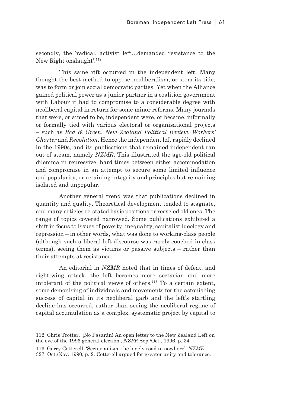secondly, the 'radical, activist left…demanded resistance to the New Right onslaught'.112

This same rift occurred in the independent left. Many thought the best method to oppose neoliberalism, or stem its tide, was to form or join social democratic parties. Yet when the Alliance gained political power as a junior partner in a coalition government with Labour it had to compromise to a considerable degree with neoliberal capital in return for some minor reforms. Many journals that were, or aimed to be, independent were, or became, informally or formally tied with various electoral or organisational projects – such as *Red & Green*, *New Zealand Political Review*, *Workers' Charter* and *Revolution*. Hence the independent left rapidly declined in the 1990s, and its publications that remained independent ran out of steam, namely *NZMR*. This illustrated the age-old political dilemma in repressive, hard times between either accommodation and compromise in an attempt to secure some limited influence and popularity, or retaining integrity and principles but remaining isolated and unpopular.

Another general trend was that publications declined in quantity and quality. Theoretical development tended to stagnate, and many articles re-stated basic positions or recycled old ones. The range of topics covered narrowed. Some publications exhibited a shift in focus to issues of poverty, inequality, capitalist ideology and repression – in other words, what was done to working-class people (although such a liberal-left discourse was rarely couched in class terms), seeing them as victims or passive subjects – rather than their attempts at resistance.

An editorial in *NZMR* noted that in times of defeat, and right-wing attack, the left becomes more sectarian and more intolerant of the political views of others.113 To a certain extent, some demonising of individuals and movements for the astonishing success of capital in its neoliberal garb and the left's startling decline has occurred, rather than seeing the neoliberal regime of capital accumulation as a complex, systematic project by capital to

327, Oct./Nov. 1990, p. 2. Cotterell argued for greater unity and tolerance.

<sup>112</sup> Chris Trotter, '¡No Pasarán! An open letter to the New Zealand Left on the eve of the 1996 general election', *NZPR* Sep./Oct., 1996, p. 34.

<sup>113</sup> Gerry Cotterell, 'Sectarianism: the lonely road to nowhere', *NZMR*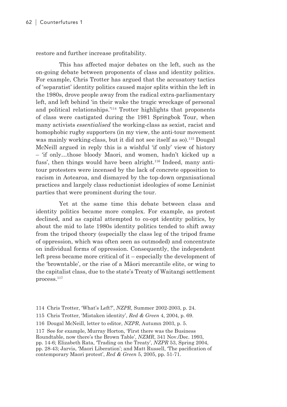restore and further increase profitability.

This has affected major debates on the left, such as the on-going debate between proponents of class and identity politics. For example, Chris Trotter has argued that the accusatory tactics of 'separatist' identity politics caused major splits within the left in the 1980s, drove people away from the radical extra-parliamentary left, and left behind 'in their wake the tragic wreckage of personal and political relationships.'114 Trotter highlights that proponents of class were castigated during the 1981 Springbok Tour, when many activists *essentialised* the working-class as sexist, racist and homophobic rugby supporters (in my view, the anti-tour movement was mainly working-class, but it did not see itself as so).<sup>115</sup> Dougal McNeill argued in reply this is a wishful 'if only' view of history – 'if only…those bloody Maori, and women, hadn't kicked up a fuss', then things would have been alright.<sup>116</sup> Indeed, many antitour protesters were incensed by the lack of concrete opposition to racism in Aotearoa, and dismayed by the top-down organisational practices and largely class reductionist ideologies of some Leninist parties that were prominent during the tour.

Yet at the same time this debate between class and identity politics became more complex. For example, as protest declined, and as capital attempted to co-opt identity politics, by about the mid to late 1980s identity politics tended to shift away from the tripod theory (especially the class leg of the tripod frame of oppression, which was often seen as outmoded) and concentrate on individual forms of oppression. Consequently, the independent left press became more critical of it – especially the development of the 'browntable', or the rise of a Māori mercantile elite, or wing to the capitalist class, due to the state's Treaty of Waitangi settlement process.117

114 Chris Trotter, 'What's Left?', *NZPR*, Summer 2002-2003, p. 24.

117 See for example, Murray Horton, 'First there was the Business Roundtable, now there's the Brown Table', *NZMR*, 341 Nov./Dec. 1993, pp. 14-6; Elizabeth Rata, 'Trading on the Treaty', *NZPR* 53, Spring 2004, pp. 28-43; Jarvis, 'Maori Liberation'; and Matt Russell, 'The pacification of contemporary Maori protest', *Red & Green* 5, 2005, pp. 51-71.

<sup>115</sup> Chris Trotter, 'Mistaken identity', *Red & Green* 4, 2004, p. 69.

<sup>116</sup> Dougal McNeill, letter to editor, *NZPR*, Autumn 2003, p. 5.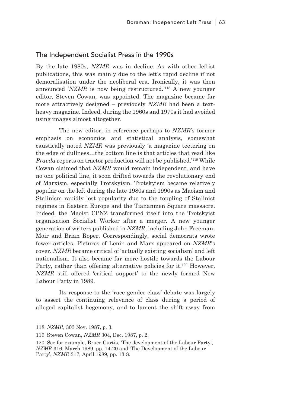#### The Independent Socialist Press in the 1990s

By the late 1980s, *NZMR* was in decline. As with other leftist publications, this was mainly due to the left's rapid decline if not demoralisation under the neoliberal era. Ironically, it was then announced '*NZMR* is now being restructured.'118 A new younger editor, Steven Cowan, was appointed. The magazine became far more attractively designed – previously *NZMR* had been a textheavy magazine. Indeed, during the 1960s and 1970s it had avoided using images almost altogether.

The new editor, in reference perhaps to *NZMR*'s former emphasis on economics and statistical analysis, somewhat caustically noted *NZMR* was previously 'a magazine teetering on the edge of dullness…the bottom line is that articles that read like *Pravda* reports on tractor production will not be published.'119 While Cowan claimed that *NZMR* would remain independent, and have no one political line, it soon drifted towards the revolutionary end of Marxism, especially Trotskyism. Trotskyism became relatively popular on the left during the late 1980s and 1990s as Maoism and Stalinism rapidly lost popularity due to the toppling of Stalinist regimes in Eastern Europe and the Tiananmen Square massacre. Indeed, the Maoist CPNZ transformed itself into the Trotskyist organisation Socialist Worker after a merger. A new younger generation of writers published in *NZMR*, including John Freeman-Moir and Brian Roper. Correspondingly, social democrats wrote fewer articles. Pictures of Lenin and Marx appeared on *NZMR*'s cover. *NZMR* became critical of 'actually existing socialism' and left nationalism. It also became far more hostile towards the Labour Party, rather than offering alternative policies for it.<sup>120</sup> However, *NZMR* still offered 'critical support' to the newly formed New Labour Party in 1989.

Its response to the 'race gender class' debate was largely to assert the continuing relevance of class during a period of alleged capitalist hegemony, and to lament the shift away from

<sup>118</sup> *NZMR*, 303 Nov. 1987, p. 3.

<sup>119</sup> Steven Cowan, *NZMR* 304, Dec. 1987, p. 2.

<sup>120</sup> See for example, Bruce Curtis, 'The development of the Labour Party', *NZMR* 316, March 1989, pp. 14-20 and 'The Development of the Labour Party', *NZMR* 317, April 1989, pp. 13-8.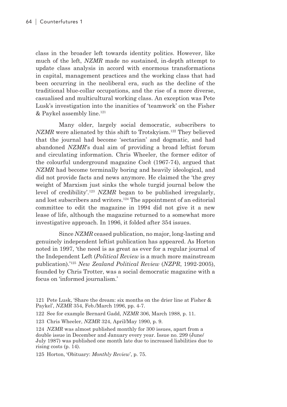class in the broader left towards identity politics. However, like much of the left, *NZMR* made no sustained, in-depth attempt to update class analysis in accord with enormous transformations in capital, management practices and the working class that had been occurring in the neoliberal era, such as the decline of the traditional blue-collar occupations, and the rise of a more diverse, casualised and multicultural working class. An exception was Pete Lusk's investigation into the inanities of 'teamwork' on the Fisher & Paykel assembly line.121

Many older, largely social democratic, subscribers to *NZMR* were alienated by this shift to Trotskyism.<sup>122</sup> They believed that the journal had become 'sectarian' and dogmatic, and had abandoned *NZMR*'s dual aim of providing a broad leftist forum and circulating information. Chris Wheeler, the former editor of the colourful underground magazine *Cock* (1967-74), argued that *NZMR* had become terminally boring and heavily ideological, and did not provide facts and news anymore. He claimed the 'the grey weight of Marxism just sinks the whole turgid journal below the level of credibility'.123 *NZMR* began to be published irregularly, and lost subscribers and writers.124 The appointment of an editorial committee to edit the magazine in 1994 did not give it a new lease of life, although the magazine returned to a somewhat more investigative approach. In 1996, it folded after 354 issues.

Since *NZMR* ceased publication, no major, long-lasting and genuinely independent leftist publication has appeared. As Horton noted in 1997, 'the need is as great as ever for a regular journal of the Independent Left (*Political Review* is a much more mainstream publication).'125 *New Zealand Political Review* (*NZPR*, 1992-2005), founded by Chris Trotter, was a social democratic magazine with a focus on 'informed journalism.'

<sup>121</sup> Pete Lusk, 'Share the dream: six months on the drier line at Fisher & Paykel', *NZMR* 354, Feb./March 1996, pp. 4-7.

<sup>122</sup> See for example Bernard Gadd, *NZMR* 306, March 1988, p. 11.

<sup>123</sup> Chris Wheeler, *NZMR* 324, April/May 1990, p. 9.

<sup>124</sup> *NZMR* was almost published monthly for 300 issues, apart from a double issue in December and January every year. Issue no. 299 (June/ July 1987) was published one month late due to increased liabilities due to rising costs (p. 14).

<sup>125</sup> Horton, 'Obituary: *Monthly Review*', p. 75.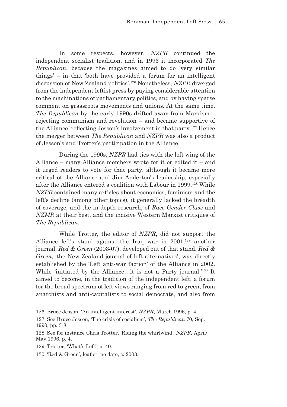In some respects, however, *NZPR* continued the independent socialist tradition, and in 1996 it incorporated *The Republican*, because the magazines aimed to do 'very similar things' – in that 'both have provided a forum for an intelligent discussion of New Zealand politics'.126 Nonetheless, *NZPR* diverged from the independent leftist press by paying considerable attention to the machinations of parliamentary politics, and by having sparse comment on grassroots movements and unions. At the same time, *The Republican* by the early 1990s drifted away from Marxism – rejecting communism and revolution – and became supportive of the Alliance, reflecting Jesson's involvement in that party.<sup>127</sup> Hence the merger between *The Republican* and *NZPR* was also a product of Jesson's and Trotter's participation in the Alliance.

During the 1990s, *NZPR* had ties with the left wing of the Alliance – many Alliance members wrote for it or edited it – and it urged readers to vote for that party, although it became more critical of the Alliance and Jim Anderton's leadership, especially after the Alliance entered a coalition with Labour in 1999.128 While *NZPR* contained many articles about economics, feminism and the left's decline (among other topics), it generally lacked the breadth of coverage, and the in-depth research, of *Race Gender Class* and *NZMR* at their best, and the incisive Western Marxist critiques of *The Republican*.

While Trotter, the editor of *NZPR*, did not support the Alliance left's stand against the Iraq war in  $2001$ ,<sup>129</sup> another journal, *Red & Green* (2003-07), developed out of that stand. *Red & Green*, 'the New Zealand journal of left alternatives', was directly established by the 'Left anti-war faction' of the Alliance in 2002. While 'initiated by the Alliance...it is not a Party journal.'<sup>130</sup> It aimed to become, in the tradition of the independent left, a forum for the broad spectrum of left views ranging from red to green, from anarchists and anti-capitalists to social democrats, and also from

126 Bruce Jesson, 'An intelligent interest', *NZPR*, March 1996, p. 4.

128 See for instance Chris Trotter, 'Riding the whirlwind', *NZPR*, April/ May 1996, p. 4.

129 Trotter, 'What's Left', p. 40.

130 'Red & Green', leaflet, no date, c. 2003.

<sup>127</sup> See Bruce Jesson, 'The crisis of socialism', *The Republican* 70, Sep. 1990, pp. 3-8.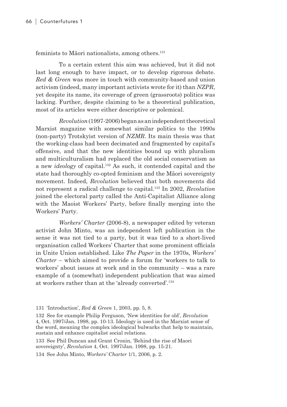feminists to Māori nationalists, among others.131

To a certain extent this aim was achieved, but it did not last long enough to have impact, or to develop rigorous debate. *Red & Green* was more in touch with community-based and union activism (indeed, many important activists wrote for it) than *NZPR*, yet despite its name, its coverage of green (grassroots) politics was lacking. Further, despite claiming to be a theoretical publication, most of its articles were either descriptive or polemical.

*Revolution* (1997-2006) began as an independent theoretical Marxist magazine with somewhat similar politics to the 1990s (non-party) Trotskyist version of *NZMR*. Its main thesis was that the working-class had been decimated and fragmented by capital's offensive, and that the new identities bound up with pluralism and multiculturalism had replaced the old social conservatism as a new *ideology* of capital.132 As such, it contended capital and the state had thoroughly co-opted feminism and the Māori sovereignty movement. Indeed, *Revolution* believed that both movements did not represent a radical challenge to capital.133 In 2002, *Revolution* joined the electoral party called the Anti-Capitalist Alliance along with the Maoist Workers' Party, before finally merging into the Workers' Party.

*Workers' Charter* (2006-8), a newspaper edited by veteran activist John Minto, was an independent left publication in the sense it was not tied to a party, but it was tied to a short-lived organisation called Workers' Charter that some prominent officials in Unite Union established. Like *The Paper* in the 1970s, *Workers' Charter* – which aimed to provide a forum for 'workers to talk to workers' about issues at work and in the community – was a rare example of a (somewhat) independent publication that was aimed at workers rather than at the 'already converted'.134

133 See Phil Duncan and Grant Cronin, 'Behind the rise of Maori sovereignty', *Revolution* 4, Oct. 1997/Jan. 1998, pp. 15-21.

134 See John Minto, *Workers' Charter* 1/1, 2006, p. 2.

<sup>131</sup> 'Introduction', *Red & Green* 1, 2003, pp. 5, 8.

<sup>132</sup> See for example Philip Ferguson, 'New identities for old', *Revolution* 4, Oct. 1997/Jan. 1998, pp. 10-13. Ideology is used in the Marxist sense of the word, meaning the complex ideological bulwarks that help to maintain, sustain and enhance capitalist social relations.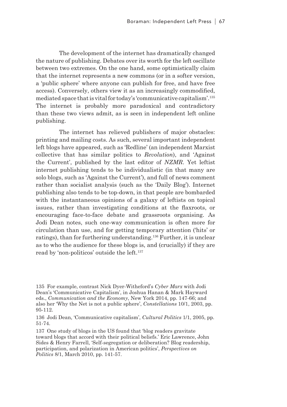The development of the internet has dramatically changed the nature of publishing. Debates over its worth for the left oscillate between two extremes. On the one hand, some optimistically claim that the internet represents a new commons (or in a softer version, a 'public sphere' where anyone can publish for free, and have free access). Conversely, others view it as an increasingly commodified, mediated space that is vital for today's 'communicative capitalism'.135 The internet is probably more paradoxical and contradictory than these two views admit, as is seen in independent left online publishing.

The internet has relieved publishers of major obstacles: printing and mailing costs. As such, several important independent left blogs have appeared, such as 'Redline' (an independent Marxist collective that has similar politics to *Revolution*), and 'Against the Current', published by the last editor of *NZMR*. Yet leftist internet publishing tends to be individualistic (in that many are solo blogs, such as 'Against the Current'), and full of news comment rather than socialist analysis (such as the 'Daily Blog'). Internet publishing also tends to be top-down, in that people are bombarded with the instantaneous opinions of a galaxy of leftists on topical issues, rather than investigating conditions at the flaxroots, or encouraging face-to-face debate and grassroots organising. As Jodi Dean notes, such one-way communication is often more for circulation than use, and for getting temporary attention ('hits' or ratings), than for furthering understanding.136 Further, it is unclear as to who the audience for these blogs is, and (crucially) if they are read by 'non-politicos' outside the left.137

<sup>135</sup> For example, contrast Nick Dyer-Witheford's *Cyber Marx* with Jodi Dean's 'Communicative Capitalism', in Joshua Hanan & Mark Hayward eds., *Communication and the Economy*, New York 2014, pp. 147-66; and also her 'Why the Net is not a public sphere', *Constellations* 10/1, 2003, pp. 95-112.

<sup>136</sup> Jodi Dean, 'Communicative capitalism', *Cultural Politics* 1/1, 2005, pp. 51-74.

<sup>137</sup> One study of blogs in the US found that 'blog readers gravitate toward blogs that accord with their political beliefs.' Eric Lawrence, John Sides & Henry Farrell, 'Self-segregation or deliberation? Blog readership, participation, and polarization in American politics', *Perspectives on Politics* 8/1, March 2010, pp. 141-57.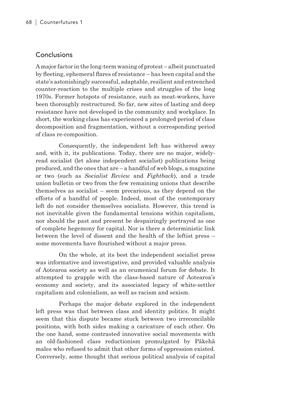#### Conclusions

A major factor in the long-term waning of protest – albeit punctuated by fleeting, ephemeral flares of resistance – has been capital and the state's astonishingly successful, adaptable, resilient and entrenched counter-reaction to the multiple crises and struggles of the long 1970s. Former hotspots of resistance, such as meat-workers, have been thoroughly restructured. So far, new sites of lasting and deep resistance have not developed in the community and workplace. In short, the working class has experienced a prolonged period of class decomposition and fragmentation, without a corresponding period of class re-composition.

Consequently, the independent left has withered away and, with it, its publications. Today, there are no major, widelyread socialist (let alone independent socialist) publications being produced, and the ones that are – a handful of web blogs, a magazine or two (such as *Socialist Review* and *Fightback*), and a trade union bulletin or two from the few remaining unions that describe themselves as socialist – seem precarious, as they depend on the efforts of a handful of people. Indeed, most of the contemporary left do not consider themselves socialists. However, this trend is not inevitable given the fundamental tensions within capitalism, nor should the past and present be despairingly portrayed as one of complete hegemony for capital. Nor is there a deterministic link between the level of dissent and the health of the leftist press – some movements have flourished without a major press.

On the whole, at its best the independent socialist press was informative and investigative, and provided valuable analysis of Aotearoa society as well as an ecumenical forum for debate. It attempted to grapple with the class-based nature of Aotearoa's economy and society, and its associated legacy of white-settler capitalism and colonialism, as well as racism and sexism.

Perhaps the major debate explored in the independent left press was that between class and identity politics. It might seem that this dispute became stuck between two irreconcilable positions, with both sides making a caricature of each other. On the one hand, some contrasted innovative social movements with an old-fashioned class reductionism promulgated by Pākehā males who refused to admit that other forms of oppression existed. Conversely, some thought that serious political analysis of capital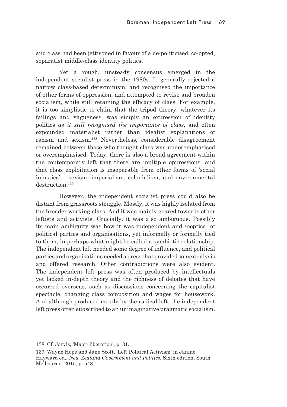and class had been jettisoned in favour of a de-politicised, co-opted, separatist middle-class identity politics.

Yet a rough, unsteady consensus emerged in the independent socialist press in the 1980s. It generally rejected a narrow class-based determinism, and recognised the importance of other forms of oppression, and attempted to revise and broaden socialism, while still retaining the efficacy of class. For example, it is too simplistic to claim that the tripod theory, whatever its failings and vagueness, was simply an expression of identity politics *as it still recognised the importance of class*, and often expounded materialist rather than idealist explanations of racism and sexism.138 Nevertheless, considerable disagreement remained between those who thought class was underemphasised or overemphasised. Today, there is also a broad agreement within the contemporary left that there are multiple oppressions, and that class exploitation is inseparable from other forms of 'social injustice' – sexism, imperialism, colonialism, and environmental destruction.<sup>139</sup>

However, the independent socialist press could also be distant from grassroots struggle. Mostly, it was highly isolated from the broader working-class. And it was mainly geared towards other leftists and activists. Crucially, it was also ambiguous. Possibly its main ambiguity was how it was independent and sceptical of political parties and organisations, yet informally or formally tied to them, in perhaps what might be called a symbiotic relationship. The independent left needed some degree of influence, and political parties and organisations needed a press that provided some analysis and offered research. Other contradictions were also evident. The independent left press was often produced by intellectuals yet lacked in-depth theory and the richness of debates that have occurred overseas, such as discussions concerning the capitalist spectacle, changing class composition and wages for housework. And although produced mostly by the radical left, the independent left press often subscribed to an unimaginative pragmatic socialism.

138 Cf. Jarvis, 'Maori liberation', p. 31.

139 Wayne Hope and Jane Scott, 'Left Political Activism' in Janine Hayward ed., *New Zealand Government and Politics*, Sixth edition, South Melbourne, 2015, p. 548.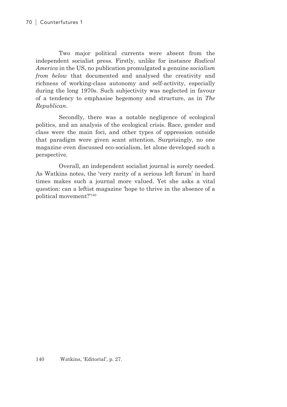Two major political currents were absent from the independent socialist press. Firstly, unlike for instance *Radical America* in the US, no publication promulgated a genuine *socialism from below* that documented and analysed the creativity and richness of working-class autonomy and self-activity, especially during the long 1970s. Such subjectivity was neglected in favour of a tendency to emphasise hegemony and structure, as in *The Republican*.

Secondly, there was a notable negligence of ecological politics, and an analysis of the ecological crisis. Race, gender and class were the main foci, and other types of oppression outside that paradigm were given scant attention. Surprisingly, no one magazine even discussed eco-socialism, let alone developed such a perspective.

Overall, an independent socialist journal is sorely needed. As Watkins notes, the 'very rarity of a serious left forum' in hard times makes such a journal more valued. Yet she asks a vital question: can a leftist magazine 'hope to thrive in the absence of a political movement?'140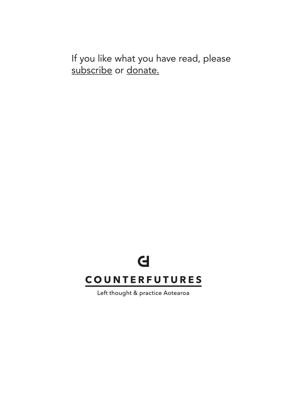If you like what you have read, please subscribe or donate.

## $\mathbf d$ **COUNTERFUTURES**

Left thought & practice Aotearoa